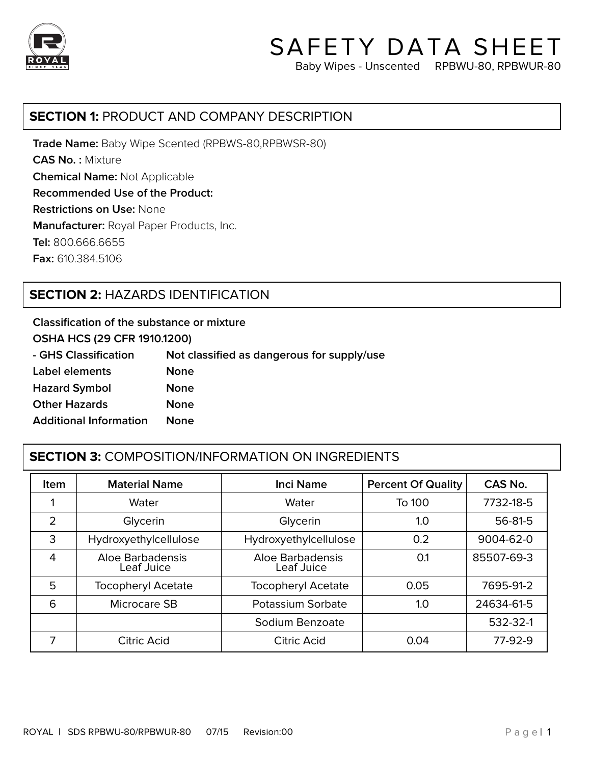

# SAFETY DATA SHEET Baby Wipes - Unscented RPBWU-80, RPBWUR-80

### **SECTION 1:** PRODUCT AND COMPANY DESCRIPTION

**Trade Name:** Baby Wipe Scented (RPBWS-80,RPBWSR-80) **CAS No. :** Mixture **Chemical Name:** Not Applicable **Recommended Use of the Product: Restrictions on Use:** None **Manufacturer:** Royal Paper Products, Inc. **Tel:** 800.666.6655 **Fax:** 610.384.5106

# **SECTION 2:** HAZARDS IDENTIFICATION

**Classification of the substance or mixture**

**OSHA HCS (29 CFR 1910.1200)**

| - GHS Classification          | Not classified as dangerous for supply/use |
|-------------------------------|--------------------------------------------|
| Label elements                | <b>None</b>                                |
| <b>Hazard Symbol</b>          | <b>None</b>                                |
| <b>Other Hazards</b>          | <b>None</b>                                |
| <b>Additional Information</b> | <b>None</b>                                |
|                               |                                            |

# **SECTION 3:** COMPOSITION/INFORMATION ON INGREDIENTS

| <b>Item</b>    | <b>Material Name</b>           | <b>Inci Name</b>               | <b>Percent Of Quality</b> | CAS No.    |
|----------------|--------------------------------|--------------------------------|---------------------------|------------|
|                | Water                          | Water                          | To 100                    | 7732-18-5  |
| $\overline{2}$ | Glycerin                       | Glycerin                       | 1.0                       | 56-81-5    |
| 3              | Hydroxyethylcellulose          | Hydroxyethylcellulose          | 0.2                       | 9004-62-0  |
| 4              | Aloe Barbadensis<br>Leaf Juice | Aloe Barbadensis<br>Leaf Juice | 0.1                       | 85507-69-3 |
| 5              | <b>Tocopheryl Acetate</b>      | <b>Tocopheryl Acetate</b>      | 0.05                      | 7695-91-2  |
| 6              | Microcare SB                   | Potassium Sorbate              | 1.0                       | 24634-61-5 |
|                |                                | Sodium Benzoate                |                           | 532-32-1   |
| 7              | Citric Acid                    | Citric Acid                    | 0.04                      | 77-92-9    |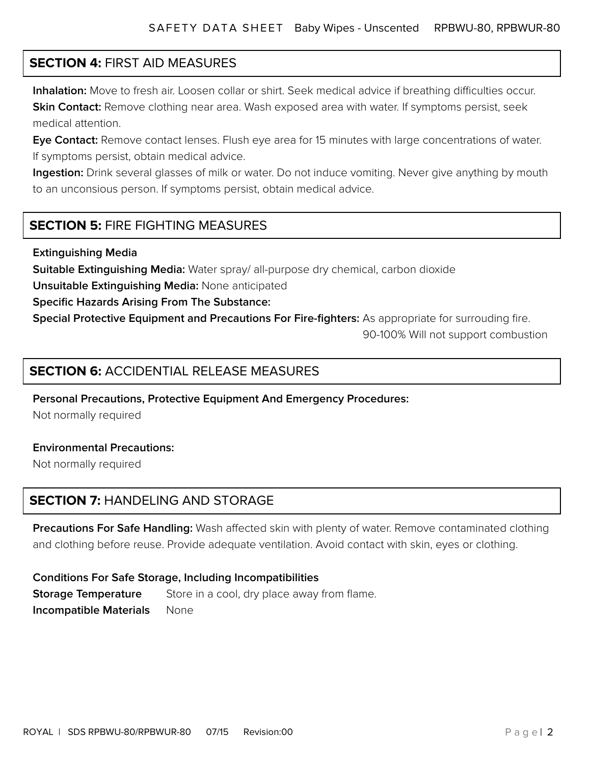# **SECTION 4:** FIRST AID MEASURES

j

**Inhalation:** Move to fresh air. Loosen collar or shirt. Seek medical advice if breathing difficulties occur. **Skin Contact:** Remove clothing near area. Wash exposed area with water. If symptoms persist, seek medical attention.

٦

**Eye Contact:** Remove contact lenses. Flush eye area for 15 minutes with large concentrations of water. If symptoms persist, obtain medical advice.

**Ingestion:** Drink several glasses of milk or water. Do not induce vomiting. Never give anything by mouth to an unconsious person. If symptoms persist, obtain medical advice.

# **SECTION 5:** FIRE FIGHTING MEASURES

**Extinguishing Media**

**Suitable Extinguishing Media:** Water spray/ all-purpose dry chemical, carbon dioxide

**Unsuitable Extinguishing Media:** None anticipated

**Specific Hazards Arising From The Substance:**

**Special Protective Equipment and Precautions For Fire-fighters:** As appropriate for surrouding fire.

90-100% Will not support combustion

### **SECTION 6:** ACCIDENTIAL RELEASE MEASURES

**Personal Precautions, Protective Equipment And Emergency Procedures:**

Not normally required

#### **Environmental Precautions:**

Not normally required

# **SECTION 7:** HANDELING AND STORAGE

Precautions For Safe Handling: Wash affected skin with plenty of water. Remove contaminated clothing and clothing before reuse. Provide adequate ventilation. Avoid contact with skin, eyes or clothing.

#### **Conditions For Safe Storage, Including Incompatibilities**

**Storage Temperature** Store in a cool, dry place away from flame. **Incompatible Materials** None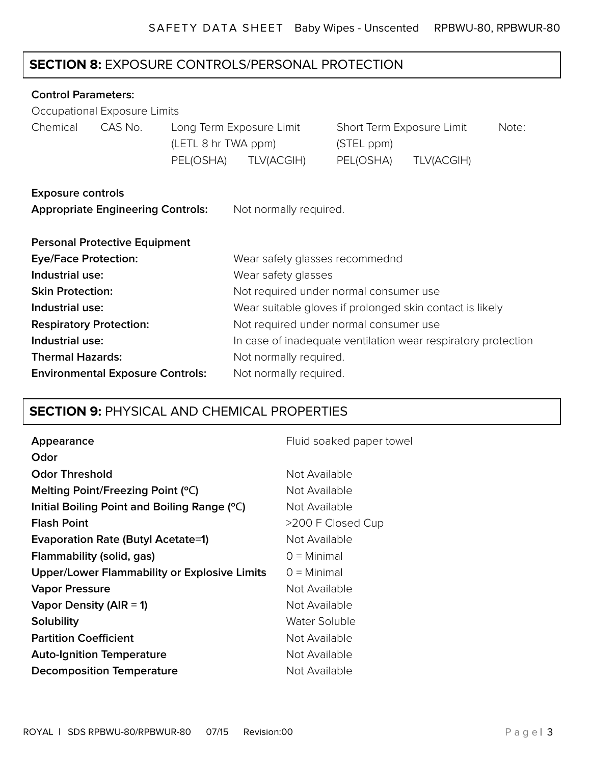# **SECTION 8:** EXPOSURE CONTROLS/PERSONAL PROTECTION

#### **Control Parameters:**

|                                | Occupational Exposure Limits             |                                  |                                                               |                                                      |            |       |
|--------------------------------|------------------------------------------|----------------------------------|---------------------------------------------------------------|------------------------------------------------------|------------|-------|
| Chemical                       | CAS No.                                  | (LETL 8 hr TWA ppm)<br>PEL(OSHA) | Long Term Exposure Limit<br>TLV(ACGIH)                        | Short Term Exposure Limit<br>(STEL ppm)<br>PEL(OSHA) | TLV(ACGIH) | Note: |
| <b>Exposure controls</b>       |                                          |                                  |                                                               |                                                      |            |       |
|                                | <b>Appropriate Engineering Controls:</b> |                                  | Not normally required.                                        |                                                      |            |       |
|                                | <b>Personal Protective Equipment</b>     |                                  |                                                               |                                                      |            |       |
| <b>Eye/Face Protection:</b>    |                                          |                                  | Wear safety glasses recommednd                                |                                                      |            |       |
| Industrial use:                |                                          |                                  | Wear safety glasses                                           |                                                      |            |       |
| <b>Skin Protection:</b>        |                                          |                                  | Not required under normal consumer use                        |                                                      |            |       |
| Industrial use:                |                                          |                                  | Wear suitable gloves if prolonged skin contact is likely      |                                                      |            |       |
| <b>Respiratory Protection:</b> |                                          |                                  | Not required under normal consumer use                        |                                                      |            |       |
| Industrial use:                |                                          |                                  | In case of inadequate ventilation wear respiratory protection |                                                      |            |       |
| <b>Thermal Hazards:</b>        |                                          |                                  | Not normally required.                                        |                                                      |            |       |

| <b>Environmental Exposure Controls:</b> | Not normally required. |
|-----------------------------------------|------------------------|
|                                         |                        |

# **SECTION 9:** PHYSICAL AND CHEMICAL PROPERTIES

| Appearance                                          | Fluid soaked paper towel |
|-----------------------------------------------------|--------------------------|
| Odor                                                |                          |
| <b>Odor Threshold</b>                               | Not Available            |
| Melting Point/Freezing Point (°C)                   | Not Available            |
| Initial Boiling Point and Boiling Range (°C)        | Not Available            |
| <b>Flash Point</b>                                  | >200 F Closed Cup        |
| <b>Evaporation Rate (Butyl Acetate=1)</b>           | Not Available            |
| Flammability (solid, gas)                           | $Q =$ Minimal            |
| <b>Upper/Lower Flammability or Explosive Limits</b> | $Q =$ Minimal            |
| <b>Vapor Pressure</b>                               | Not Available            |
| Vapor Density (AIR = 1)                             | Not Available            |
| Solubility                                          | Water Soluble            |
| <b>Partition Coefficient</b>                        | Not Available            |
| <b>Auto-Ignition Temperature</b>                    | Not Available            |
| <b>Decomposition Temperature</b>                    | Not Available            |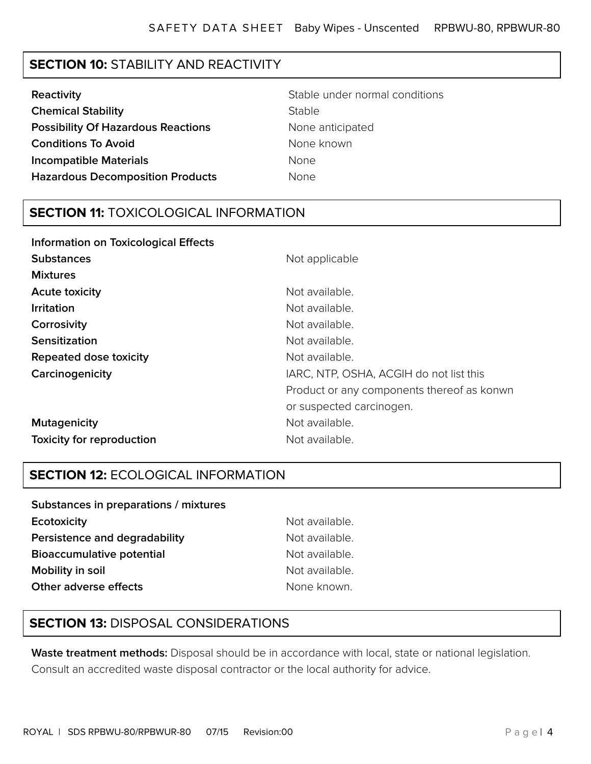# **SECTION 10:** STABILITY AND REACTIVITY

| Reactivity                                | Stable under normal conditions |
|-------------------------------------------|--------------------------------|
| <b>Chemical Stability</b>                 | <b>Stable</b>                  |
| <b>Possibility Of Hazardous Reactions</b> | None anticipated               |
| <b>Conditions To Avoid</b>                | None known                     |
| <b>Incompatible Materials</b>             | <b>None</b>                    |
| <b>Hazardous Decomposition Products</b>   | <b>None</b>                    |

## **SECTION 11:** TOXICOLOGICAL INFORMATION

| <b>Information on Toxicological Effects</b> |                                            |
|---------------------------------------------|--------------------------------------------|
| <b>Substances</b>                           | Not applicable                             |
| <b>Mixtures</b>                             |                                            |
| <b>Acute toxicity</b>                       | Not available.                             |
| <b>Irritation</b>                           | Not available.                             |
| Corrosivity                                 | Not available.                             |
| <b>Sensitization</b>                        | Not available.                             |
| Repeated dose toxicity                      | Not available.                             |
| Carcinogenicity                             | IARC, NTP, OSHA, ACGIH do not list this    |
|                                             | Product or any components thereof as konwn |
|                                             | or suspected carcinogen.                   |
| <b>Mutagenicity</b>                         | Not available.                             |
| <b>Toxicity for reproduction</b>            | Not available.                             |

# **SECTION 12:** ECOLOGICAL INFORMATION

| Ecotoxicity<br>Not available.<br>Persistence and degradability<br>Not available.<br><b>Bioaccumulative potential</b><br>Not available.<br>Mobility in soil<br>Not available. |  |
|------------------------------------------------------------------------------------------------------------------------------------------------------------------------------|--|
|                                                                                                                                                                              |  |
|                                                                                                                                                                              |  |
|                                                                                                                                                                              |  |
|                                                                                                                                                                              |  |
| Other adverse effects<br>None known.                                                                                                                                         |  |

# **SECTION 13:** DISPOSAL CONSIDERATIONS

**Waste treatment methods:** Disposal should be in accordance with local, state or national legislation. Consult an accredited waste disposal contractor or the local authority for advice.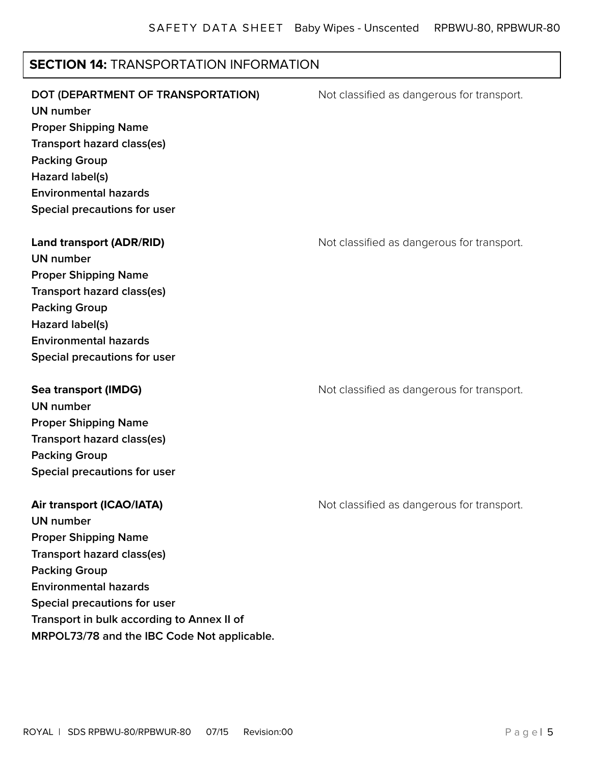# **SECTION 14:** TRANSPORTATION INFORMATION

| DOT (DEPARTMENT OF TRANSPORTATION)<br><b>UN number</b><br><b>Proper Shipping Name</b><br><b>Transport hazard class(es)</b><br><b>Packing Group</b><br>Hazard label(s)<br><b>Environmental hazards</b><br>Special precautions for user            | Not classified as dangerous for transport. |
|--------------------------------------------------------------------------------------------------------------------------------------------------------------------------------------------------------------------------------------------------|--------------------------------------------|
| <b>Land transport (ADR/RID)</b><br><b>UN number</b><br><b>Proper Shipping Name</b><br><b>Transport hazard class(es)</b><br><b>Packing Group</b><br>Hazard label(s)<br><b>Environmental hazards</b><br>Special precautions for user               | Not classified as dangerous for transport. |
| <b>Sea transport (IMDG)</b><br><b>UN number</b><br><b>Proper Shipping Name</b><br>Transport hazard class(es)<br><b>Packing Group</b><br>Special precautions for user                                                                             | Not classified as dangerous for transport. |
| Air transport (ICAO/IATA)<br><b>UN number</b><br><b>Proper Shipping Name</b><br>Transport hazard class(es)<br><b>Packing Group</b><br><b>Environmental hazards</b><br>Special precautions for user<br>Transport in bulk according to Annex II of | Not classified as dangerous for transport. |

**MRPOL73/78 and the IBC Code Not applicable.**